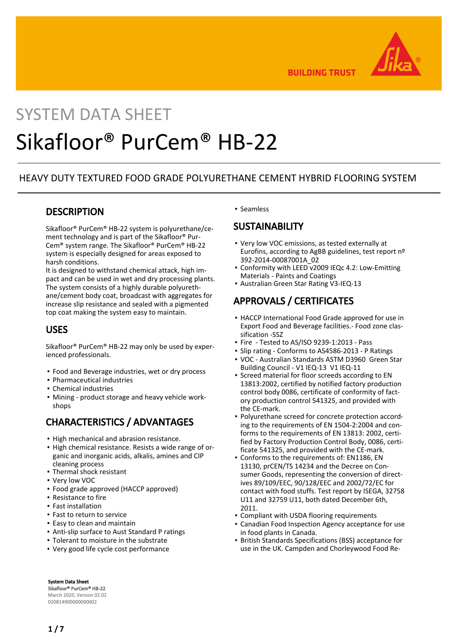

**BUILDING TRUST** 

# SYSTEM DATA SHEET Sikafloor® PurCem® HB-22

### HEAVY DUTY TEXTURED FOOD GRADE POLYURETHANE CEMENT HYBRID FLOORING SYSTEM

### **DESCRIPTION**

Sikafloor® PurCem® HB-22 system is polyurethane/cement technology and is part of the Sikafloor® Pur-Cem® system range. The Sikafloor® PurCem® HB-22 system is especially designed for areas exposed to harsh conditions.

It is designed to withstand chemical attack, high impact and can be used in wet and dry processing plants. The system consists of a highly durable polyurethane/cement body coat, broadcast with aggregates for increase slip resistance and sealed with a pigmented top coat making the system easy to maintain.

## USES

Sikafloor® PurCem® HB-22 may only be used by experienced professionals.

- Food and Beverage industries, wet or dry process
- Pharmaceutical industries
- Chemical industries
- Mining product storage and heavy vehicle work-▪ shops

# CHARACTERISTICS / ADVANTAGES

- **.** High mechanical and abrasion resistance.
- **High chemical resistance. Resists a wide range of or**ganic and inorganic acids, alkalis, amines and CIP cleaning process
- Thermal shock resistant
- Very low VOC
- Food grade approved (HACCP approved)
- Resistance to fire
- Fast installation
- Fast to return to service
- Easy to clean and maintain
- Anti-slip surface to Aust Standard P ratings
- Tolerant to moisture in the substrate
- Very good life cycle cost performance

#### ▪ Seamless

### **SUSTAINABILITY**

- Very low VOC emissions, as tested externally at Eurofins, according to AgBB guidelines, test report nº 392-2014-00087001A\_02
- Conformity with LEED v2009 IEQc 4.2: Low-Emitting Materials - Paints and Coatings
- Australian Green Star Rating V3-IEQ-13

# APPROVALS / CERTIFICATES

- **.** HACCP International Food Grade approved for use in Export Food and Beverage facilities.- Food zone classification -SSZ
- Fire Tested to AS/ISO 9239-1:2013 Pass
- Slip rating Conforms to AS4586-2013 P Ratings
- VOC Australian Standards ASTM D3960 Green Star Building Council - V1 IEQ-13 V1 IEQ-11 ▪
- Screed material for floor screeds according to EN 13813:2002, certified by notified factory production control body 0086, certificate of conformity of factory production control 541325, and provided with the CE-mark. ▪
- Polyurethane screed for concrete protection according to the requirements of EN 1504-2:2004 and conforms to the requirements of EN 13813: 2002, certified by Factory Production Control Body, 0086, certificate 541325, and provided with the CE-mark.
- Conforms to the requirements of: EN1186, EN 13130, prCEN/TS 14234 and the Decree on Consumer Goods, representing the conversion of directives 89/109/EEC, 90/128/EEC and 2002/72/EC for contact with food stuffs. Test report by ISEGA, 32758 U11 and 32759 U11, both dated December 6th, 2011. ▪
- **Compliant with USDA flooring requirements**
- **Canadian Food Inspection Agency acceptance for use** in food plants in Canada.
- **British Standards Specifications (BSS) acceptance for** use in the UK. Campden and Chorleywood Food Re-

System Data Sheet Sikafloor® PurCem® HB-22 March 2020, Version 02.02 020814900000000002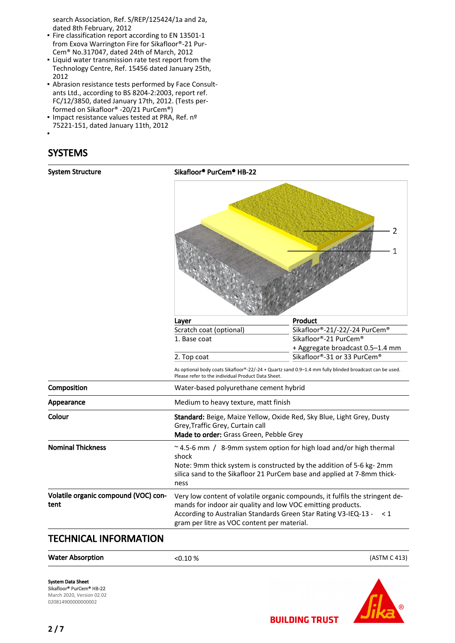search Association, Ref. S/REP/125424/1a and 2a, dated 8th February, 2012

- **Fire classification report according to EN 13501-1** from Exova Warrington Fire for Sikafloor®-21 Pur-Cem® No.317047, dated 24th of March, 2012
- Liquid water transmission rate test report from the Technology Centre, Ref. 15456 dated January 25th, 2012
- Abrasion resistance tests performed by Face Consult-▪ ants Ltd., according to BS 8204-2:2003, report ref. FC/12/3850, dated January 17th, 2012. (Tests performed on Sikafloor® -20/21 PurCem®)
- Impact resistance values tested at PRA, Ref. nº 75221-151, dated January 11th, 2012
- ▪

# SYSTEMS

| <b>System Structure</b>                      | Sikafloor® PurCem® HB-22                                                                                                                                                                                                             |                                                                                                        |  |
|----------------------------------------------|--------------------------------------------------------------------------------------------------------------------------------------------------------------------------------------------------------------------------------------|--------------------------------------------------------------------------------------------------------|--|
|                                              |                                                                                                                                                                                                                                      | 2<br>1                                                                                                 |  |
|                                              | Layer                                                                                                                                                                                                                                | Product                                                                                                |  |
|                                              | Scratch coat (optional)                                                                                                                                                                                                              | Sikafloor®-21/-22/-24 PurCem®                                                                          |  |
|                                              | 1. Base coat                                                                                                                                                                                                                         | Sikafloor®-21 PurCem®                                                                                  |  |
|                                              |                                                                                                                                                                                                                                      | + Aggregate broadcast 0.5-1.4 mm                                                                       |  |
|                                              | 2. Top coat                                                                                                                                                                                                                          | Sikafloor®-31 or 33 PurCem®                                                                            |  |
|                                              | Please refer to the individual Product Data Sheet.                                                                                                                                                                                   | As optional body coats Sikafloor®-22/-24 + Quartz sand 0.9-1.4 mm fully blinded broadcast can be used. |  |
| Composition                                  | Water-based polyurethane cement hybrid                                                                                                                                                                                               |                                                                                                        |  |
| Appearance                                   | Medium to heavy texture, matt finish                                                                                                                                                                                                 |                                                                                                        |  |
| Colour                                       | Standard: Beige, Maize Yellow, Oxide Red, Sky Blue, Light Grey, Dusty<br>Grey, Traffic Grey, Curtain call<br>Made to order: Grass Green, Pebble Grey                                                                                 |                                                                                                        |  |
| <b>Nominal Thickness</b>                     | ~4.5-6 mm / 8-9mm system option for high load and/or high thermal<br>shock<br>Note: 9mm thick system is constructed by the addition of 5-6 kg-2mm<br>silica sand to the Sikafloor 21 PurCem base and applied at 7-8mm thick-<br>ness |                                                                                                        |  |
| Volatile organic compound (VOC) con-<br>tent | mands for indoor air quality and low VOC emitting products.<br>According to Australian Standards Green Star Rating V3-IEQ-13 -<br>gram per litre as VOC content per material.                                                        | Very low content of volatile organic compounds, it fulfils the stringent de-<br>$\leq 1$               |  |

## TECHNICAL INFORMATION



System Data Sheet Sikafloor® PurCem® HB-22 March 2020, Version 02.02 020814900000000002

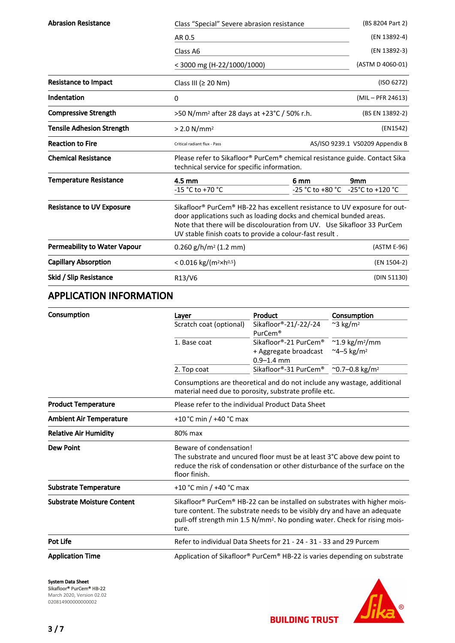| <b>Abrasion Resistance</b>          | Class "Special" Severe abrasion resistance                                                                                                                                                                                                                                                                    |                  | (BS 8204 Part 2)                |
|-------------------------------------|---------------------------------------------------------------------------------------------------------------------------------------------------------------------------------------------------------------------------------------------------------------------------------------------------------------|------------------|---------------------------------|
|                                     | AR 0.5                                                                                                                                                                                                                                                                                                        |                  | (EN 13892-4)                    |
|                                     | Class A6                                                                                                                                                                                                                                                                                                      |                  | (EN 13892-3)                    |
|                                     | < 3000 mg (H-22/1000/1000)                                                                                                                                                                                                                                                                                    |                  | (ASTM D 4060-01)                |
| <b>Resistance to Impact</b>         | Class III ( $\geq$ 20 Nm)                                                                                                                                                                                                                                                                                     |                  | (ISO 6272)                      |
| Indentation                         | $\Omega$                                                                                                                                                                                                                                                                                                      |                  | (MIL – PFR 24613)               |
| <b>Compressive Strength</b>         | >50 N/mm <sup>2</sup> after 28 days at +23°C / 50% r.h.                                                                                                                                                                                                                                                       |                  | (BS EN 13892-2)                 |
| <b>Tensile Adhesion Strength</b>    | $> 2.0$ N/mm <sup>2</sup>                                                                                                                                                                                                                                                                                     |                  | (EN1542)                        |
| <b>Reaction to Fire</b>             | Critical radiant flux - Pass                                                                                                                                                                                                                                                                                  |                  | AS/ISO 9239.1 VS0209 Appendix B |
|                                     | Please refer to Sikafloor® PurCem® chemical resistance guide. Contact Sika<br>technical service for specific information.                                                                                                                                                                                     |                  |                                 |
| <b>Chemical Resistance</b>          |                                                                                                                                                                                                                                                                                                               |                  |                                 |
| <b>Temperature Resistance</b>       | 4.5 mm                                                                                                                                                                                                                                                                                                        | 6 mm             | 9mm                             |
|                                     | -15 °C to +70 °C                                                                                                                                                                                                                                                                                              | -25 °C to +80 °C | -25°C to +120 °C                |
| <b>Resistance to UV Exposure</b>    | Sikafloor <sup>®</sup> PurCem <sup>®</sup> HB-22 has excellent resistance to UV exposure for out-<br>door applications such as loading docks and chemical bunded areas.<br>Note that there will be discolouration from UV. Use Sikafloor 33 PurCem<br>UV stable finish coats to provide a colour-fast result. |                  |                                 |
| <b>Permeability to Water Vapour</b> | $0.260$ g/h/m <sup>2</sup> (1.2 mm)                                                                                                                                                                                                                                                                           |                  | (ASTM E-96)                     |
| <b>Capillary Absorption</b>         | < 0.016 kg/( $m^2 \times h^{0.5}$ )                                                                                                                                                                                                                                                                           |                  | (EN 1504-2)                     |

# APPLICATION INFORMATION

| Consumption                       | Layer                   | Product                                                                                                                                                                                                                                                                 | Consumption                 |  |
|-----------------------------------|-------------------------|-------------------------------------------------------------------------------------------------------------------------------------------------------------------------------------------------------------------------------------------------------------------------|-----------------------------|--|
|                                   | Scratch coat (optional) | Sikafloor®-21/-22/-24<br>PurCem <sup>®</sup>                                                                                                                                                                                                                            | $~^{\sim}3~\mathrm{kg/m^2}$ |  |
|                                   | 1. Base coat            | Sikafloor®-21 PurCem® ~1.9 kg/m <sup>2</sup> /mm<br>+ Aggregate broadcast<br>$0.9 - 1.4$ mm                                                                                                                                                                             | ~4–5 kg/m <sup>2</sup>      |  |
|                                   | 2. Top coat             | Sikafloor®-31 PurCem® ~0.7-0.8 kg/m <sup>2</sup>                                                                                                                                                                                                                        |                             |  |
|                                   |                         | Consumptions are theoretical and do not include any wastage, additional<br>material need due to porosity, substrate profile etc.                                                                                                                                        |                             |  |
| <b>Product Temperature</b>        |                         | Please refer to the individual Product Data Sheet                                                                                                                                                                                                                       |                             |  |
| <b>Ambient Air Temperature</b>    |                         | +10 °C min / +40 °C max                                                                                                                                                                                                                                                 |                             |  |
| <b>Relative Air Humidity</b>      | 80% max                 |                                                                                                                                                                                                                                                                         |                             |  |
| <b>Dew Point</b>                  | floor finish.           | Beware of condensation!<br>The substrate and uncured floor must be at least 3°C above dew point to<br>reduce the risk of condensation or other disturbance of the surface on the                                                                                        |                             |  |
| <b>Substrate Temperature</b>      |                         | +10 °C min / +40 °C max                                                                                                                                                                                                                                                 |                             |  |
| <b>Substrate Moisture Content</b> | ture.                   | Sikafloor <sup>®</sup> PurCem <sup>®</sup> HB-22 can be installed on substrates with higher mois-<br>ture content. The substrate needs to be visibly dry and have an adequate<br>pull-off strength min 1.5 N/mm <sup>2</sup> . No ponding water. Check for rising mois- |                             |  |
| <b>Pot Life</b>                   |                         | Refer to individual Data Sheets for 21 - 24 - 31 - 33 and 29 Purcem                                                                                                                                                                                                     |                             |  |
| <b>Application Time</b>           |                         | Application of Sikafloor® PurCem® HB-22 is varies depending on substrate                                                                                                                                                                                                |                             |  |

System Data Sheet

Sikafloor® PurCem® HB-22 March 2020, Version 02.02 020814900000000002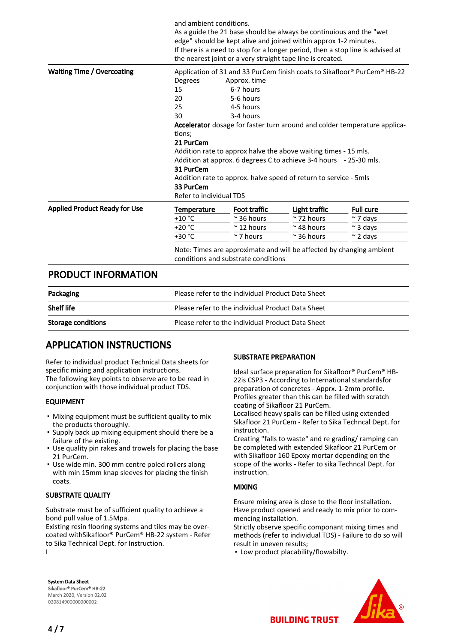|                                      | and ambient conditions.                                                                                     |                                                                                                                                                                                                                                                                                                                                                                                                                                                                                                     | As a guide the 21 base should be always be continuious and the "wet<br>edge" should be kept alive and joined within approx 1-2 minutes. | If there is a need to stop for a longer period, then a stop line is advised at |
|--------------------------------------|-------------------------------------------------------------------------------------------------------------|-----------------------------------------------------------------------------------------------------------------------------------------------------------------------------------------------------------------------------------------------------------------------------------------------------------------------------------------------------------------------------------------------------------------------------------------------------------------------------------------------------|-----------------------------------------------------------------------------------------------------------------------------------------|--------------------------------------------------------------------------------|
| <b>Waiting Time / Overcoating</b>    | Degrees<br>15<br>20<br>25<br>30<br>tions;<br>21 PurCem<br>31 PurCem<br>33 PurCem<br>Refer to individual TDS | the nearest joint or a very straight tape line is created.<br>Application of 31 and 33 PurCem finish coats to Sikafloor® PurCem® HB-22<br>Approx. time<br>6-7 hours<br>5-6 hours<br>4-5 hours<br>3-4 hours<br>Accelerator dosage for faster turn around and colder temperature applica-<br>Addition rate to approx halve the above waiting times - 15 mls.<br>Addition at approx. 6 degrees C to achieve 3-4 hours - 25-30 mls.<br>Addition rate to approx. halve speed of return to service - 5mls |                                                                                                                                         |                                                                                |
| <b>Applied Product Ready for Use</b> | <b>Temperature</b>                                                                                          | Foot traffic                                                                                                                                                                                                                                                                                                                                                                                                                                                                                        | Light traffic                                                                                                                           | <b>Full cure</b>                                                               |
|                                      | $+10 °C$                                                                                                    | $\approx$ 36 hours                                                                                                                                                                                                                                                                                                                                                                                                                                                                                  | $\approx$ 72 hours                                                                                                                      | $~\sim$ 7 days                                                                 |
|                                      | $+20 °C$                                                                                                    | $\approx$ 12 hours                                                                                                                                                                                                                                                                                                                                                                                                                                                                                  | $\approx$ 48 hours                                                                                                                      | $\sim$ 3 days                                                                  |
|                                      | +30 °C                                                                                                      | $\approx$ 7 hours                                                                                                                                                                                                                                                                                                                                                                                                                                                                                   | $\approx$ 36 hours                                                                                                                      | $\sim$ 2 days                                                                  |
|                                      |                                                                                                             | conditions and substrate conditions                                                                                                                                                                                                                                                                                                                                                                                                                                                                 | Note: Times are approximate and will be affected by changing ambient                                                                    |                                                                                |

### PRODUCT INFORMATION

| Packaging                 | Please refer to the individual Product Data Sheet |
|---------------------------|---------------------------------------------------|
| <b>Shelf life</b>         | Please refer to the individual Product Data Sheet |
| <b>Storage conditions</b> | Please refer to the individual Product Data Sheet |

### APPLICATION INSTRUCTIONS

Refer to individual product Technical Data sheets for specific mixing and application instructions. The following key points to observe are to be read in conjunction with those individual product TDS.

#### EQUIPMENT

- Mixing equipment must be sufficient quality to mix the products thoroughly.
- **.** Supply back up mixing equipment should there be a failure of the existing.
- Use quality pin rakes and trowels for placing the base 21 PurCem.
- Use wide min. 300 mm centre poled rollers along with min 15mm knap sleeves for placing the finish coats.

#### SUBSTRATE QUALITY

Substrate must be of sufficient quality to achieve a bond pull value of 1.5Mpa.

Existing resin flooring systems and tiles may be overcoated withSikafloor® PurCem® HB-22 system - Refer to Sika Technical Dept. for Instruction. I

#### SUBSTRATE PREPARATION

Ideal surface preparation for Sikafloor® PurCem® HB-22is CSP3 - According to International standardsfor preparation of concretes - Apprx. 1-2mm profile. Profiles greater than this can be filled with scratch coating of Sikafloor 21 PurCem.

Localised heavy spalls can be filled using extended Sikafloor 21 PurCem - Refer to Sika Techncal Dept. for instruction.

Creating "falls to waste" and re grading/ ramping can be completed with extended Sikafloor 21 PurCem or with Sikafloor 160 Epoxy mortar depending on the scope of the works - Refer to sika Techncal Dept. for instruction.

#### MIXING

Ensure mixing area is close to the floor installation. Have product opened and ready to mix prior to commencing installation.

Strictly observe specific componant mixing times and methods (refer to individual TDS) - Failure to do so will result in uneven results;

▪ Low product placability/flowabilty.

System Data Sheet Sikafloor® PurCem® HB-22 March 2020, Version 02.02 020814900000000002

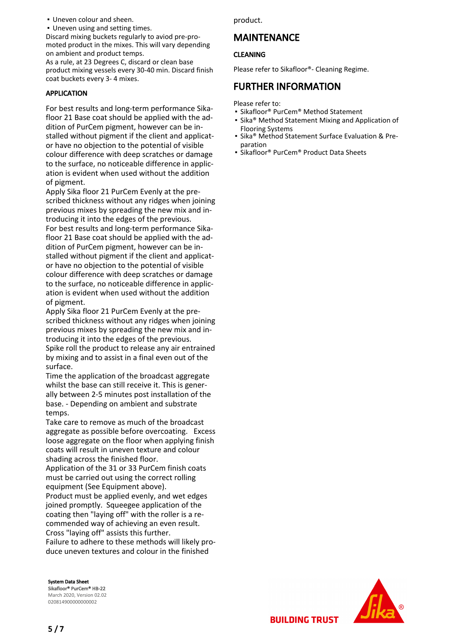▪ Uneven colour and sheen.

▪ Uneven using and setting times.

Discard mixing buckets regularly to aviod pre-promoted product in the mixes. This will vary depending on ambient and product temps.

As a rule, at 23 Degrees C, discard or clean base product mixing vessels every 30-40 min. Discard finish coat buckets every 3- 4 mixes.

#### APPLICATION

For best results and long-term performance Sikafloor 21 Base coat should be applied with the addition of PurCem pigment, however can be installed without pigment if the client and applicator have no objection to the potential of visible colour difference with deep scratches or damage to the surface, no noticeable difference in application is evident when used without the addition of pigment.

Apply Sika floor 21 PurCem Evenly at the prescribed thickness without any ridges when joining previous mixes by spreading the new mix and introducing it into the edges of the previous. For best results and long-term performance Sikafloor 21 Base coat should be applied with the addition of PurCem pigment, however can be installed without pigment if the client and applicator have no objection to the potential of visible colour difference with deep scratches or damage to the surface, no noticeable difference in application is evident when used without the addition of pigment.

Apply Sika floor 21 PurCem Evenly at the prescribed thickness without any ridges when joining previous mixes by spreading the new mix and introducing it into the edges of the previous. Spike roll the product to release any air entrained by mixing and to assist in a final even out of the surface.

Time the application of the broadcast aggregate whilst the base can still receive it. This is generally between 2-5 minutes post installation of the base. - Depending on ambient and substrate temps.

Take care to remove as much of the broadcast aggregate as possible before overcoating. Excess loose aggregate on the floor when applying finish coats will result in uneven texture and colour shading across the finished floor.

Application of the 31 or 33 PurCem finish coats must be carried out using the correct rolling equipment (See Equipment above).

Product must be applied evenly, and wet edges joined promptly. Squeegee application of the coating then "laying off" with the roller is a recommended way of achieving an even result. Cross "laying off" assists this further.

Failure to adhere to these methods will likely produce uneven textures and colour in the finished

System Data Sheet Sikafloor® PurCem® HB-22 March 2020, Version 02.02 020814900000000002

product.

## MAINTENANCE

#### CLEANING

Please refer to Sikafloor®- Cleaning Regime.

### FURTHER INFORMATION

Please refer to:

- Sikafloor® PurCem® Method Statement
- Sika® Method Statement Mixing and Application of Flooring Systems
- Sika® Method Statement Surface Evaluation & Preparation
- Sikafloor® PurCem® Product Data Sheets

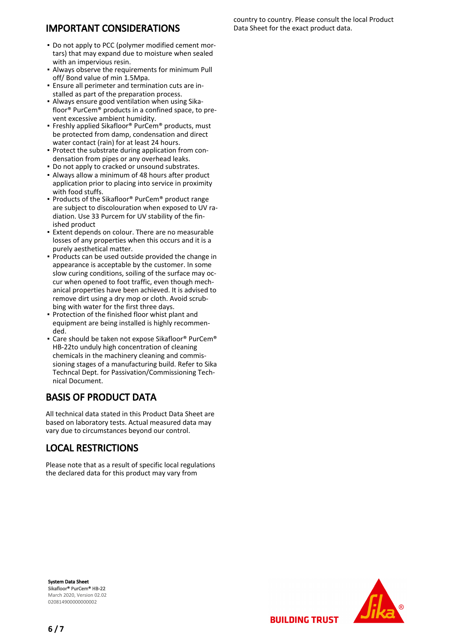# IMPORTANT CONSIDERATIONS

- . Do not apply to PCC (polymer modified cement mortars) that may expand due to moisture when sealed with an impervious resin.
- Always observe the requirements for minimum Pull off/ Bond value of min 1.5Mpa.
- **Ensure all perimeter and termination cuts are in**stalled as part of the preparation process.
- Always ensure good ventilation when using Sika-▪ floor® PurCem® products in a confined space, to prevent excessive ambient humidity.
- Freshly applied Sikafloor® PurCem® products, must be protected from damp, condensation and direct water contact (rain) for at least 24 hours.
- Protect the substrate during application from condensation from pipes or any overhead leaks.
- Do not apply to cracked or unsound substrates.
- Always allow a minimum of 48 hours after product application prior to placing into service in proximity with food stuffs.
- Products of the Sikafloor® PurCem® product range are subject to discolouration when exposed to UV radiation. Use 33 Purcem for UV stability of the finished product
- **Extent depends on colour. There are no measurable** losses of any properties when this occurs and it is a purely aesthetical matter.
- **Products can be used outside provided the change in** appearance is acceptable by the customer. In some slow curing conditions, soiling of the surface may occur when opened to foot traffic, even though mechanical properties have been achieved. It is advised to remove dirt using a dry mop or cloth. Avoid scrubbing with water for the first three days.
- Protection of the finished floor whist plant and equipment are being installed is highly recommended.
- Care should be taken not expose Sikafloor® PurCem® HB-22to unduly high concentration of cleaning chemicals in the machinery cleaning and commissioning stages of a manufacturing build. Refer to Sika Techncal Dept. for Passivation/Commissioning Technical Document.

# BASIS OF PRODUCT DATA

All technical data stated in this Product Data Sheet are based on laboratory tests. Actual measured data may vary due to circumstances beyond our control.

# LOCAL RESTRICTIONS

Please note that as a result of specific local regulations the declared data for this product may vary from

System Data Sheet Sikafloor® PurCem® HB-22 March 2020, Version 02.02 020814900000000002